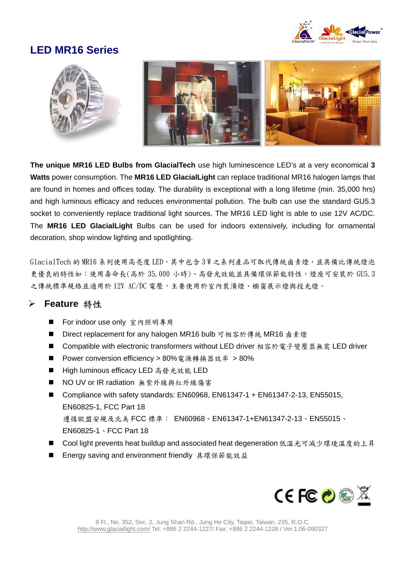

### **LED MR16 Series**



**The unique MR16 LED Bulbs from GlacialTech** use high luminescence LED's at a very economical **3 Watts** power consumption. The **MR16 LED GlacialLight** can replace traditional MR16 halogen lamps that are found in homes and offices today. The durability is exceptional with a long lifetime (min. 35,000 hrs) and high luminous efficacy and reduces environmental pollution. The bulb can use the standard GU5.3 socket to conveniently replace traditional light sources. The MR16 LED light is able to use 12V AC/DC. The **MR16 LED GlacialLight** Bulbs can be used for indoors extensively, including for ornamental decoration, shop window lighting and spotlighting.

GlacialTech 的 MR16 系列使用高亮度 LED,其中包含 3 W 之系列產品可取代傳統鹵素燈,並具備比傳統燈泡 更優良的特性如:使用壽命長(高於 35,000 小時)、高發光效能並具備環保節能特性,燈座可安裝於 GU5.3 之傳統標準規格並適用於 12V AC/DC 電壓,主要使用於室內裝潢燈、櫥窗展示燈與投光燈。

#### ¾ **Feature** 特性

- For indoor use only 室內照明專用
- Direct replacement for any halogen MR16 bulb 可相容於傳統 MR16 鹵素燈
- Compatible with electronic transformers without LED driver 相容於電子變壓器無需 LED driver
- Power conversion efficiency > 80%電源轉換器效率 > 80%
- High luminous efficacy LED 高發光效能 LED
- NO UV or IR radiation 無紫外線與紅外線傷害
- Compliance with safety standards: EN60968, EN61347-1 + EN61347-2-13, EN55015, EN60825-1, FCC Part 18 遵循歐盟安規及北美 FCC 標準: EN60968、EN61347-1+EN61347-2-13、EN55015、 EN60825-1、FCC Part 18
- Cool light prevents heat buildup and associated heat degeneration低溫光可減少環境溫度的上昇
- Energy saving and environment friendly 具環保節能效益

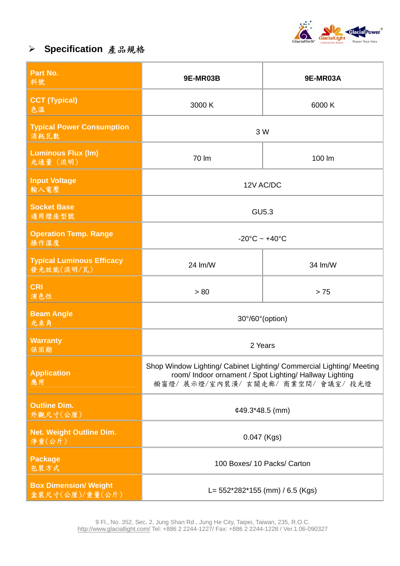

# ¾ **Specification** 產品規格

| Part No.<br>料號                                  | 9E-MR03B                                                                                                                                                          | 9E-MR03A |
|-------------------------------------------------|-------------------------------------------------------------------------------------------------------------------------------------------------------------------|----------|
| <b>CCT (Typical)</b><br>色温                      | 3000 K                                                                                                                                                            | 6000 K   |
| <b>Typical Power Consumption</b><br>消耗瓦数        | 3 W                                                                                                                                                               |          |
| <b>Luminous Flux (Im)</b><br>光通量 (流明)           | 70 lm                                                                                                                                                             | 100 lm   |
| <b>Input Voltage</b><br>輸入電壓                    | 12V AC/DC                                                                                                                                                         |          |
| <b>Socket Base</b><br>適用燈座型號                    | <b>GU5.3</b>                                                                                                                                                      |          |
| <b>Operation Temp. Range</b><br>操作溫度            | $-20^{\circ}$ C ~ $+40^{\circ}$ C                                                                                                                                 |          |
| <b>Typical Luminous Efficacy</b><br>發光效能(流明/瓦)  | 24 lm/W                                                                                                                                                           | 34 lm/W  |
| <b>CRI</b><br>演色性                               | > 80                                                                                                                                                              | > 75     |
| <b>Beam Angle</b><br>光束角                        | 30°/60° (option)                                                                                                                                                  |          |
| <b>Warranty</b><br>保固期                          | 2 Years                                                                                                                                                           |          |
| <b>Application</b><br>應用                        | Shop Window Lighting/ Cabinet Lighting/ Commercial Lighting/ Meeting<br>room/ Indoor ornament / Spot Lighting/ Hallway Lighting<br>櫥窗燈/展示燈/室內裝潢/玄關走廊/商業空間/會議室/投光燈 |          |
| <b>Outline Dim.</b><br>外觀尺寸(公厘)                 | $¢49.3*48.5$ (mm)                                                                                                                                                 |          |
| <b>Net. Weight Outline Dim.</b><br>淨重(公斤)       | 0.047 (Kgs)                                                                                                                                                       |          |
| <b>Package</b><br>包装方式                          | 100 Boxes/ 10 Packs/ Carton                                                                                                                                       |          |
| <b>Box Dimension/ Weight</b><br>盒装尺寸(公厘)/重量(公斤) | L= $552*282*155$ (mm) / 6.5 (Kgs)                                                                                                                                 |          |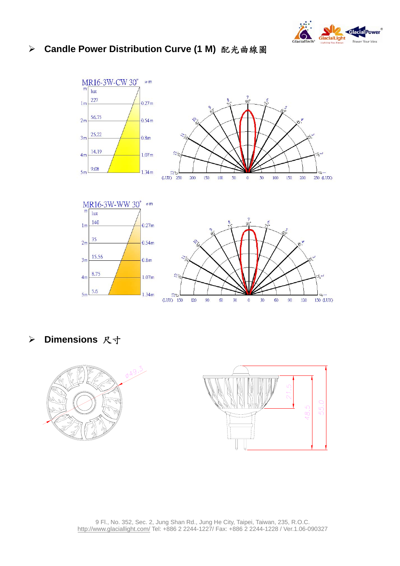

#### ¾ **Candle Power Distribution Curve (1 M)** 配光曲線圖



¾ **Dimensions** 尺寸